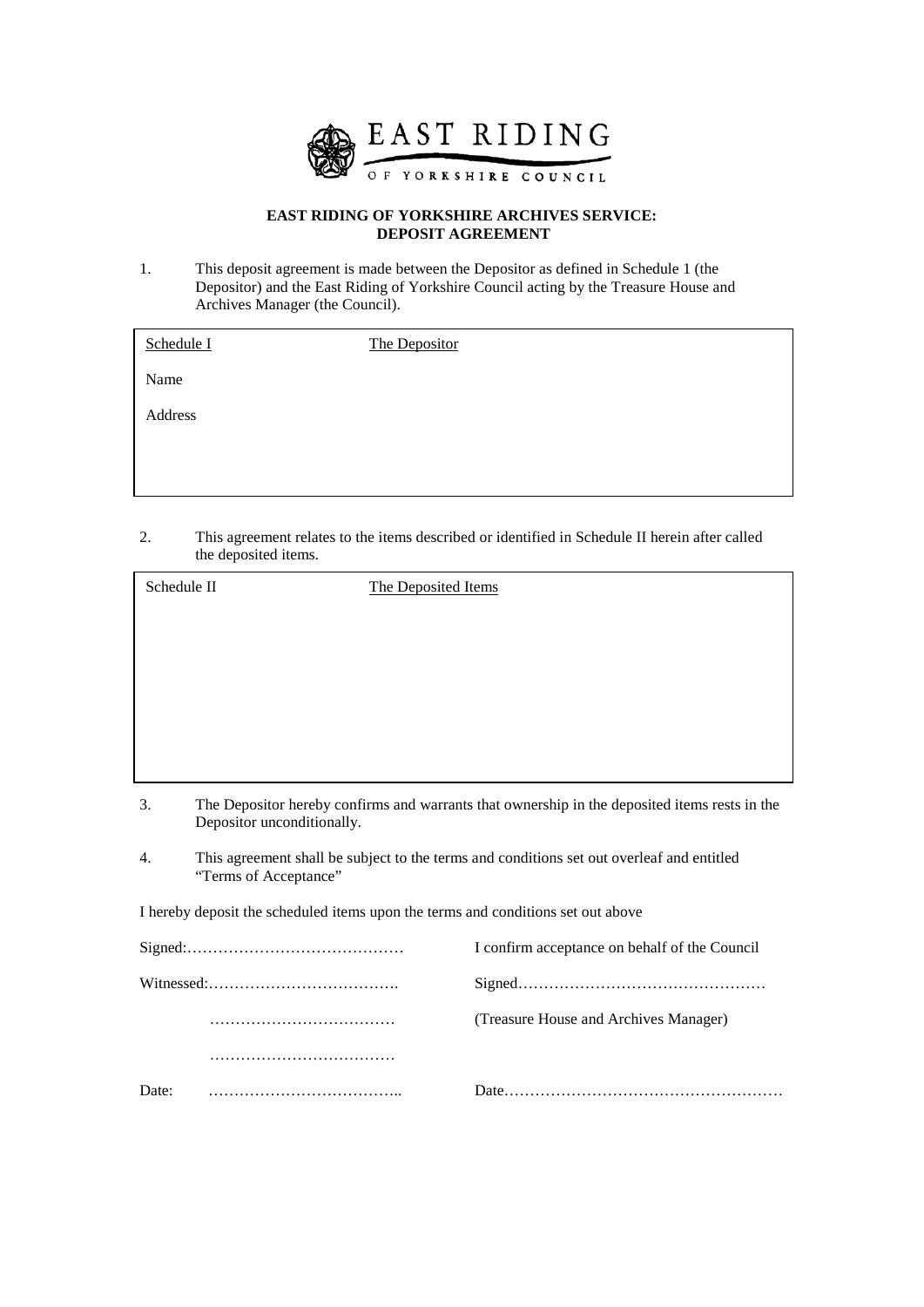

# **EAST RIDING OF YORKSHIRE ARCHIVES SERVICE: DEPOSIT AGREEMENT**

1. This deposit agreement is made between the Depositor as defined in Schedule 1 (the Depositor) and the East Riding of Yorkshire Council acting by the Treasure House and Archives Manager (the Council).

| Schedule I | The Depositor |
|------------|---------------|
| Name       |               |
| Address    |               |
|            |               |
|            |               |

2. This agreement relates to the items described or identified in Schedule II herein after called the deposited items.

| Schedule II                                                                      |                                                                                                                             | The Deposited Items                           |
|----------------------------------------------------------------------------------|-----------------------------------------------------------------------------------------------------------------------------|-----------------------------------------------|
|                                                                                  |                                                                                                                             |                                               |
|                                                                                  |                                                                                                                             |                                               |
|                                                                                  |                                                                                                                             |                                               |
|                                                                                  |                                                                                                                             |                                               |
|                                                                                  |                                                                                                                             |                                               |
| 3.                                                                               | The Depositor hereby confirms and warrants that ownership in the deposited items rests in the<br>Depositor unconditionally. |                                               |
| 4.                                                                               | This agreement shall be subject to the terms and conditions set out overleaf and entitled<br>"Terms of Acceptance"          |                                               |
| I hereby deposit the scheduled items upon the terms and conditions set out above |                                                                                                                             |                                               |
|                                                                                  |                                                                                                                             | I confirm acceptance on behalf of the Council |
|                                                                                  |                                                                                                                             |                                               |
|                                                                                  |                                                                                                                             | (Treasure House and Archives Manager)         |
|                                                                                  |                                                                                                                             |                                               |
| Date:                                                                            |                                                                                                                             |                                               |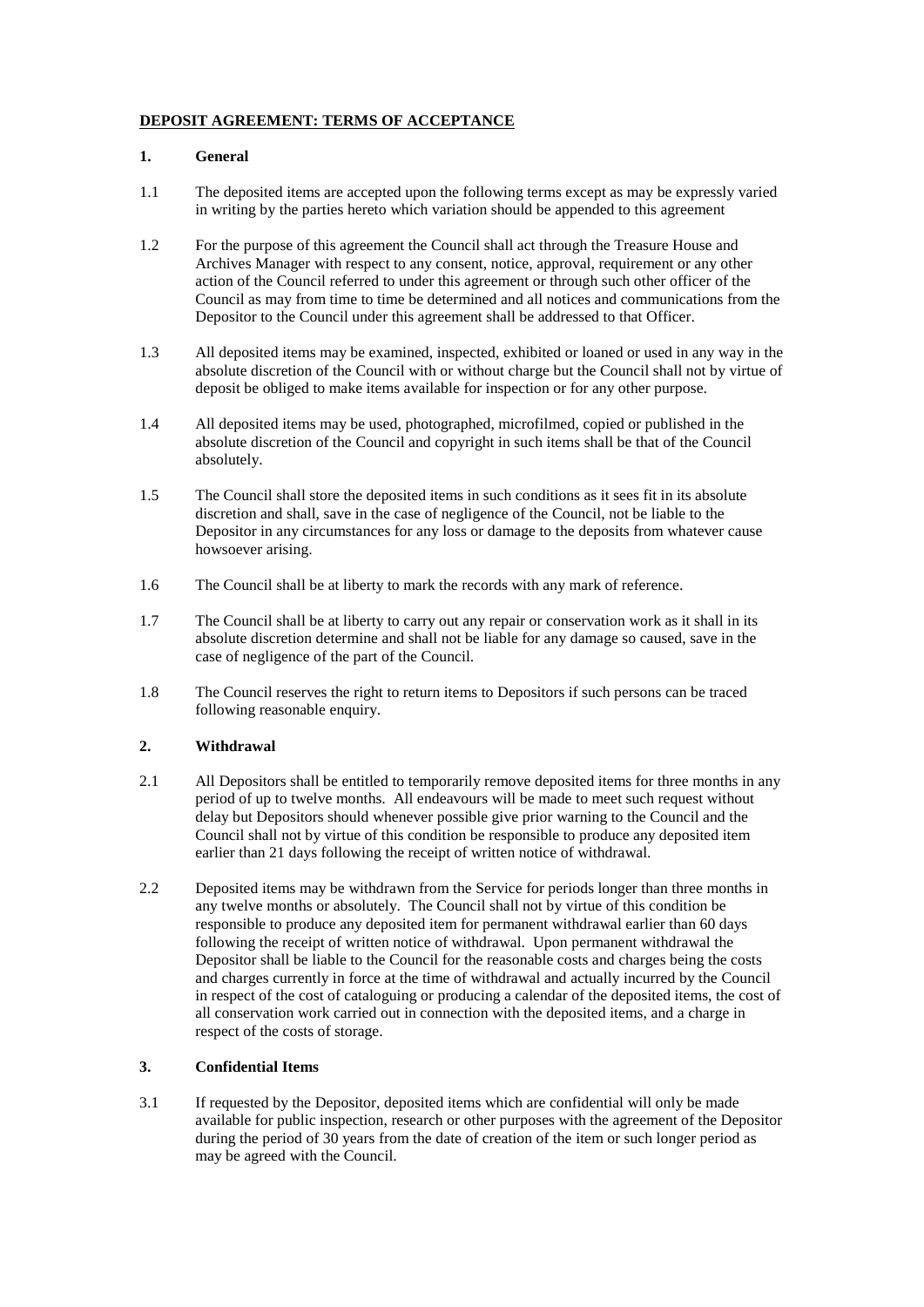# **DEPOSIT AGREEMENT: TERMS OF ACCEPTANCE**

## **1. General**

- 1.1 The deposited items are accepted upon the following terms except as may be expressly varied in writing by the parties hereto which variation should be appended to this agreement
- 1.2 For the purpose of this agreement the Council shall act through the Treasure House and Archives Manager with respect to any consent, notice, approval, requirement or any other action of the Council referred to under this agreement or through such other officer of the Council as may from time to time be determined and all notices and communications from the Depositor to the Council under this agreement shall be addressed to that Officer.
- 1.3 All deposited items may be examined, inspected, exhibited or loaned or used in any way in the absolute discretion of the Council with or without charge but the Council shall not by virtue of deposit be obliged to make items available for inspection or for any other purpose.
- 1.4 All deposited items may be used, photographed, microfilmed, copied or published in the absolute discretion of the Council and copyright in such items shall be that of the Council absolutely.
- 1.5 The Council shall store the deposited items in such conditions as it sees fit in its absolute discretion and shall, save in the case of negligence of the Council, not be liable to the Depositor in any circumstances for any loss or damage to the deposits from whatever cause howsoever arising.
- 1.6 The Council shall be at liberty to mark the records with any mark of reference.
- 1.7 The Council shall be at liberty to carry out any repair or conservation work as it shall in its absolute discretion determine and shall not be liable for any damage so caused, save in the case of negligence of the part of the Council.
- 1.8 The Council reserves the right to return items to Depositors if such persons can be traced following reasonable enquiry.

## **2. Withdrawal**

- 2.1 All Depositors shall be entitled to temporarily remove deposited items for three months in any period of up to twelve months. All endeavours will be made to meet such request without delay but Depositors should whenever possible give prior warning to the Council and the Council shall not by virtue of this condition be responsible to produce any deposited item earlier than 21 days following the receipt of written notice of withdrawal.
- 2.2 Deposited items may be withdrawn from the Service for periods longer than three months in any twelve months or absolutely. The Council shall not by virtue of this condition be responsible to produce any deposited item for permanent withdrawal earlier than 60 days following the receipt of written notice of withdrawal. Upon permanent withdrawal the Depositor shall be liable to the Council for the reasonable costs and charges being the costs and charges currently in force at the time of withdrawal and actually incurred by the Council in respect of the cost of cataloguing or producing a calendar of the deposited items, the cost of all conservation work carried out in connection with the deposited items, and a charge in respect of the costs of storage.

## **3. Confidential Items**

3.1 If requested by the Depositor, deposited items which are confidential will only be made available for public inspection, research or other purposes with the agreement of the Depositor during the period of 30 years from the date of creation of the item or such longer period as may be agreed with the Council.